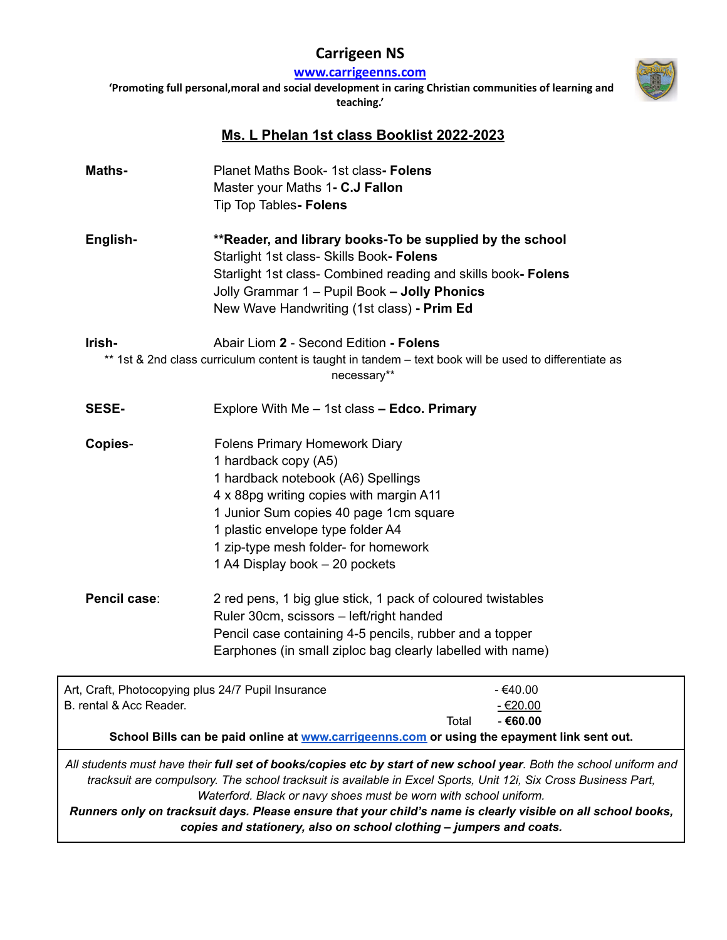## **Carrigeen NS**

**[www.carrigeenns.com](http://www.carrigeenns.com)**

**'Promoting full personal,moral and social development in caring Christian communities of learning and teaching.'**



## **Ms. L Phelan 1st class Booklist 2022-2023**

| Maths-       | Planet Maths Book- 1st class- Folens<br>Master your Maths 1- C.J Fallon<br>Tip Top Tables- Folens                     |  |
|--------------|-----------------------------------------------------------------------------------------------------------------------|--|
|              |                                                                                                                       |  |
| English-     | **Reader, and library books-To be supplied by the school                                                              |  |
|              | Starlight 1st class- Skills Book- Folens                                                                              |  |
|              | Starlight 1st class- Combined reading and skills book- Folens                                                         |  |
|              | Jolly Grammar 1 - Pupil Book - Jolly Phonics<br>New Wave Handwriting (1st class) - Prim Ed                            |  |
| Irish-       | Abair Liom 2 - Second Edition - Folens                                                                                |  |
|              | ** 1st & 2nd class curriculum content is taught in tandem - text book will be used to differentiate as<br>necessary** |  |
| <b>SESE-</b> | Explore With Me - 1st class - Edco. Primary                                                                           |  |
| Copies-      | <b>Folens Primary Homework Diary</b>                                                                                  |  |
|              | 1 hardback copy (A5)                                                                                                  |  |
|              | 1 hardback notebook (A6) Spellings                                                                                    |  |
|              | 4 x 88pg writing copies with margin A11                                                                               |  |
|              | 1 Junior Sum copies 40 page 1cm square                                                                                |  |
|              | 1 plastic envelope type folder A4                                                                                     |  |
|              | 1 zip-type mesh folder- for homework                                                                                  |  |
|              | 1 A4 Display book - 20 pockets                                                                                        |  |
| Pencil case: | 2 red pens, 1 big glue stick, 1 pack of coloured twistables                                                           |  |
|              | Ruler 30cm, scissors - left/right handed                                                                              |  |
|              | Pencil case containing 4-5 pencils, rubber and a topper                                                               |  |
|              | Earphones (in small ziploc bag clearly labelled with name)                                                            |  |
|              | Art, Craft, Photocopying plus 24/7 Pupil Insurance<br>$-€40.00$                                                       |  |

B. rental & Acc Reader.  $\overline{ }$   $\leq$  20.00 Total - **€60.00 School Bills can be paid online at [www.carrigeenns.com](http://www.carrigeenns.com) or using the epayment link sent out.** All students must have their full set of books/copies etc by start of new school year. Both the school uniform and

tracksuit are compulsory. The school tracksuit is available in Excel Sports, Unit 12i, Six Cross Business Part, *Waterford. Black or navy shoes must be worn with school uniform.*

Runners only on tracksuit days. Please ensure that your child's name is clearly visible on all school books, *copies and stationery, also on school clothing – jumpers and coats.*